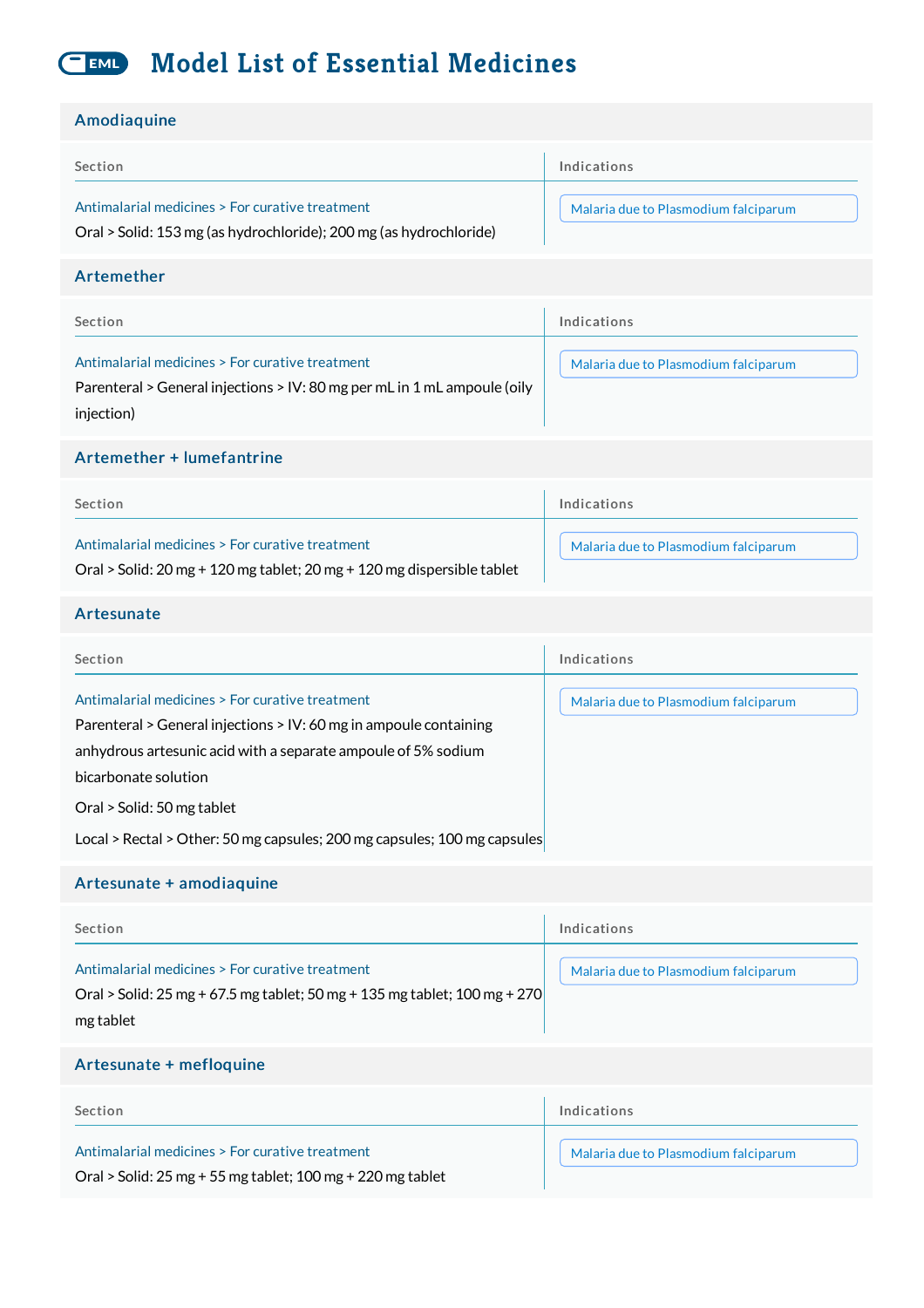#### **Model List of Essential Medicines** EML)

| Amodiaquine                                                                                                                                                                                                                                                                                                             |                                      |
|-------------------------------------------------------------------------------------------------------------------------------------------------------------------------------------------------------------------------------------------------------------------------------------------------------------------------|--------------------------------------|
| Section                                                                                                                                                                                                                                                                                                                 | Indications                          |
| Antimalarial medicines > For curative treatment<br>Oral > Solid: 153 mg (as hydrochloride); 200 mg (as hydrochloride)                                                                                                                                                                                                   | Malaria due to Plasmodium falciparum |
| Artemether                                                                                                                                                                                                                                                                                                              |                                      |
| Section                                                                                                                                                                                                                                                                                                                 | Indications                          |
| Antimalarial medicines > For curative treatment<br>Parenteral > General injections > IV: 80 mg per mL in 1 mL ampoule (oily<br>injection)                                                                                                                                                                               | Malaria due to Plasmodium falciparum |
| Artemether + lumefantrine                                                                                                                                                                                                                                                                                               |                                      |
| Section                                                                                                                                                                                                                                                                                                                 | Indications                          |
| Antimalarial medicines > For curative treatment<br>Oral > Solid: 20 mg + 120 mg tablet; 20 mg + 120 mg dispersible tablet                                                                                                                                                                                               | Malaria due to Plasmodium falciparum |
| Artesunate                                                                                                                                                                                                                                                                                                              |                                      |
| Section                                                                                                                                                                                                                                                                                                                 | Indications                          |
| Antimalarial medicines > For curative treatment<br>Parenteral > General injections > IV: 60 mg in ampoule containing<br>anhydrous artesunic acid with a separate ampoule of 5% sodium<br>bicarbonate solution<br>Oral > Solid: 50 mg tablet<br>Local > Rectal > Other: 50 mg capsules; 200 mg capsules; 100 mg capsules | Malaria due to Plasmodium falciparum |
| Artesunate + amodiaquine                                                                                                                                                                                                                                                                                                |                                      |
| Section                                                                                                                                                                                                                                                                                                                 | Indications                          |
|                                                                                                                                                                                                                                                                                                                         |                                      |

Antimalarial medicines > For curative treatment | Malaria due to [Plasmodium](http://list.essentialmeds.org/recommendations/793) falciparum Oral > Solid: 25 mg + 67.5 mg tablet; 50 mg + 135 mg tablet; 100 mg + 270 mg tablet

#### Artesunate + mefloquine

| Section                                                      | Indications                          |
|--------------------------------------------------------------|--------------------------------------|
| Antimalarial medicines > For curative treatment              | Malaria due to Plasmodium falciparum |
| Oral > Solid: $25$ mg + 55 mg tablet; 100 mg + 220 mg tablet |                                      |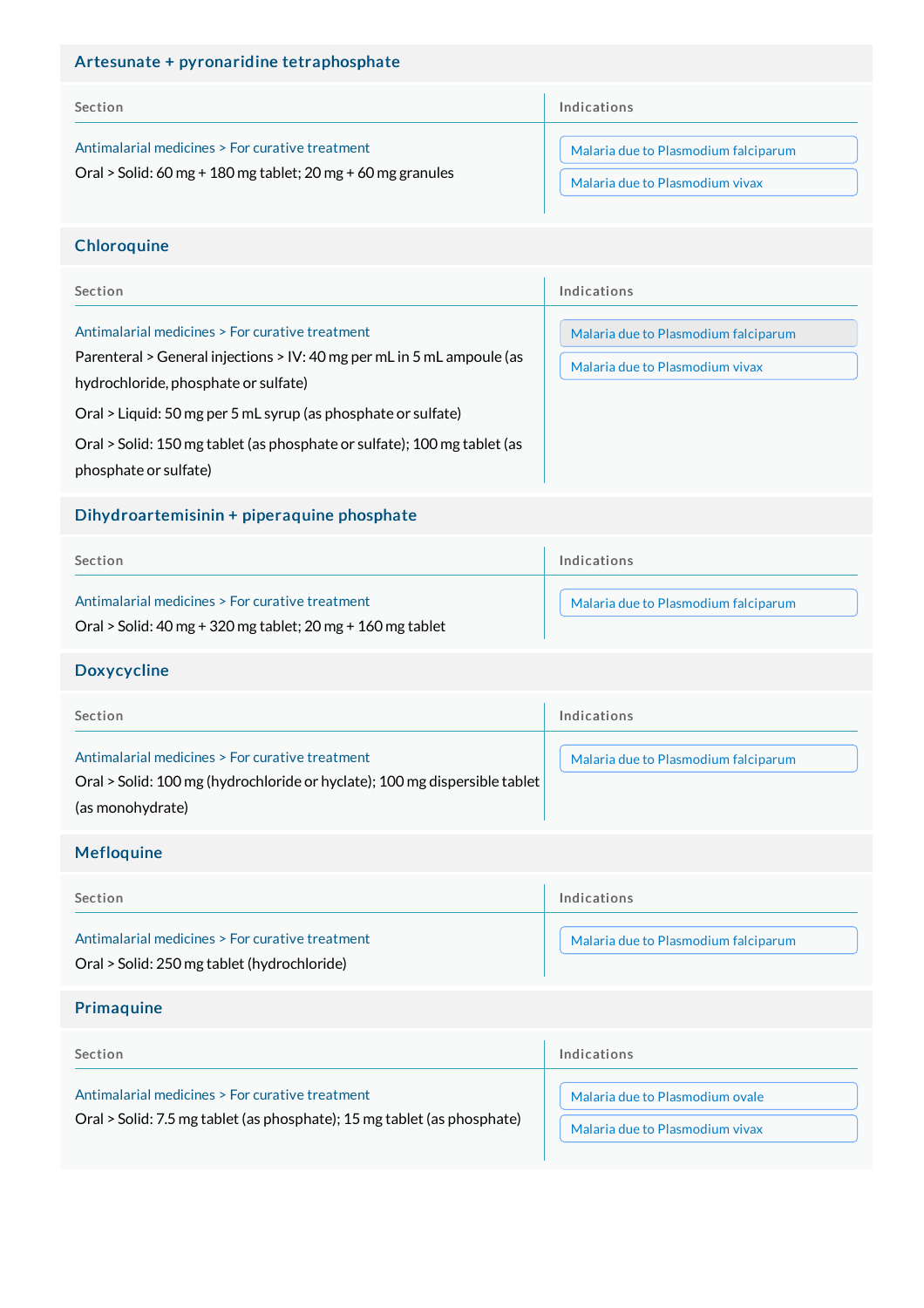## Artesunate + pyronaridine tetraphosphate

| Section                                                     | Indications                          |
|-------------------------------------------------------------|--------------------------------------|
| Antimalarial medicines > For curative treatment             | Malaria due to Plasmodium falciparum |
| Oral > Solid: 60 mg + 180 mg tablet; 20 mg + 60 mg granules | Malaria due to Plasmodium vivax      |

# **Chloroquine**

| Section                                                                                                                                                           | Indications                                                             |
|-------------------------------------------------------------------------------------------------------------------------------------------------------------------|-------------------------------------------------------------------------|
| Antimalarial medicines > For curative treatment<br>Parenteral > General injections > IV: 40 mg per mL in 5 mL ampoule (as<br>hydrochloride, phosphate or sulfate) | Malaria due to Plasmodium falciparum<br>Malaria due to Plasmodium vivax |
| Oral > Liquid: 50 mg per 5 mL syrup (as phosphate or sulfate)                                                                                                     |                                                                         |
| Oral > Solid: 150 mg tablet (as phosphate or sulfate); 100 mg tablet (as<br>phosphate or sulfate)                                                                 |                                                                         |

# Dihydroartemisinin + piperaquine phosphate

| Section                                                                                                       | Indications                          |
|---------------------------------------------------------------------------------------------------------------|--------------------------------------|
| Antimalarial medicines > For curative treatment<br>Oral > Solid: 40 mg + 320 mg tablet; 20 mg + 160 mg tablet | Malaria due to Plasmodium falciparum |

### Doxycycline

| Section                                                                                                                                           | Indications                          |
|---------------------------------------------------------------------------------------------------------------------------------------------------|--------------------------------------|
| Antimalarial medicines > For curative treatment<br>Oral > Solid: 100 mg (hydrochloride or hyclate); 100 mg dispersible tablet<br>(as monohydrate) | Malaria due to Plasmodium falciparum |

# Mefloquine

| Section                                         | Indications                          |
|-------------------------------------------------|--------------------------------------|
| Antimalarial medicines > For curative treatment | Malaria due to Plasmodium falciparum |
| Oral > Solid: 250 mg tablet (hydrochloride)     |                                      |

# Primaquine

| Section                                                                                                                    | Indications                     |
|----------------------------------------------------------------------------------------------------------------------------|---------------------------------|
| Antimalarial medicines > For curative treatment<br>Oral > Solid: 7.5 mg tablet (as phosphate); 15 mg tablet (as phosphate) | Malaria due to Plasmodium ovale |
|                                                                                                                            | Malaria due to Plasmodium vivax |